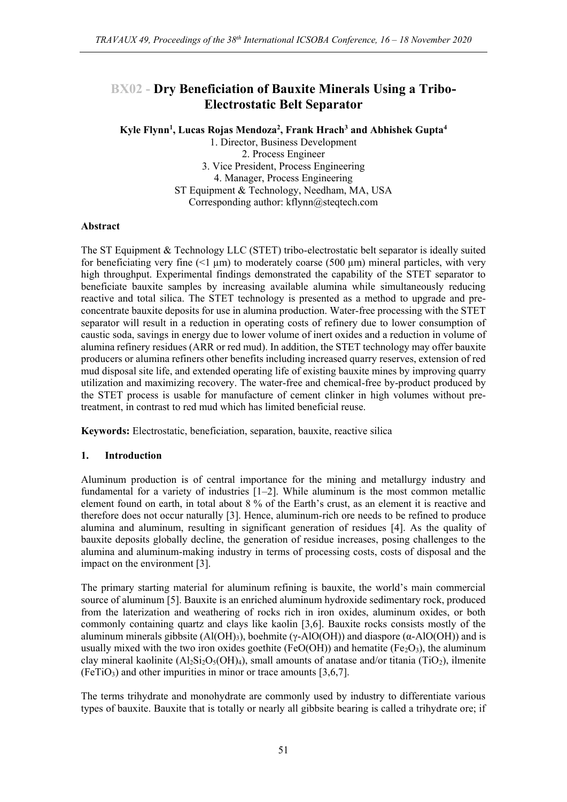## **BX02 - Dry Beneficiation of Bauxite Minerals Using a Tribo-Electrostatic Belt Separator**

**Kyle Flynn<sup>1</sup> , Lucas Rojas Mendoza<sup>2</sup> , Frank Hrach<sup>3</sup> and Abhishek Gupta<sup>4</sup>**

1. Director, Business Development 2. Process Engineer 3. Vice President, Process Engineering 4. Manager, Process Engineering ST Equipment & Technology, Needham, MA, USA Corresponding author: kflynn@steqtech.com

## **Abstract**

The ST Equipment & Technology LLC (STET) tribo-electrostatic belt separator is ideally suited for beneficiating very fine  $(1 \mu m)$  to moderately coarse (500  $\mu m$ ) mineral particles, with very high throughput. Experimental findings demonstrated the capability of the STET separator to beneficiate bauxite samples by increasing available alumina while simultaneously reducing reactive and total silica. The STET technology is presented as a method to upgrade and preconcentrate bauxite deposits for use in alumina production. Water-free processing with the STET separator will result in a reduction in operating costs of refinery due to lower consumption of caustic soda, savings in energy due to lower volume of inert oxides and a reduction in volume of alumina refinery residues (ARR or red mud). In addition, the STET technology may offer bauxite producers or alumina refiners other benefits including increased quarry reserves, extension of red mud disposal site life, and extended operating life of existing bauxite mines by improving quarry utilization and maximizing recovery. The water-free and chemical-free by-product produced by the STET process is usable for manufacture of cement clinker in high volumes without pretreatment, in contrast to red mud which has limited beneficial reuse.

**Keywords:** Electrostatic, beneficiation, separation, bauxite, reactive silica

## **1. Introduction**

Aluminum production is of central importance for the mining and metallurgy industry and fundamental for a variety of industries [1–2]. While aluminum is the most common metallic element found on earth, in total about 8 % of the Earth's crust, as an element it is reactive and therefore does not occur naturally [3]. Hence, aluminum-rich ore needs to be refined to produce alumina and aluminum, resulting in significant generation of residues [4]. As the quality of bauxite deposits globally decline, the generation of residue increases, posing challenges to the alumina and aluminum-making industry in terms of processing costs, costs of disposal and the impact on the environment [3].

The primary starting material for aluminum refining is bauxite, the world's main commercial source of aluminum [5]. Bauxite is an enriched aluminum hydroxide sedimentary rock, produced from the laterization and weathering of rocks rich in iron oxides, aluminum oxides, or both commonly containing quartz and clays like kaolin [3,6]. Bauxite rocks consists mostly of the aluminum minerals gibbsite  $(A(OH_3))$ , boehmite (γ-AlO(OH)) and diaspore ( $\alpha$ -AlO(OH)) and is usually mixed with the two iron oxides goethite (FeO(OH)) and hematite (Fe $_2O_3$ ), the aluminum clay mineral kaolinite  $(A_2Si_2O_5(OH)_4)$ , small amounts of anatase and/or titania (TiO<sub>2</sub>), ilmenite  $(FeTiO<sub>3</sub>)$  and other impurities in minor or trace amounts [3,6,7].

The terms trihydrate and monohydrate are commonly used by industry to differentiate various types of bauxite. Bauxite that is totally or nearly all gibbsite bearing is called a trihydrate ore; if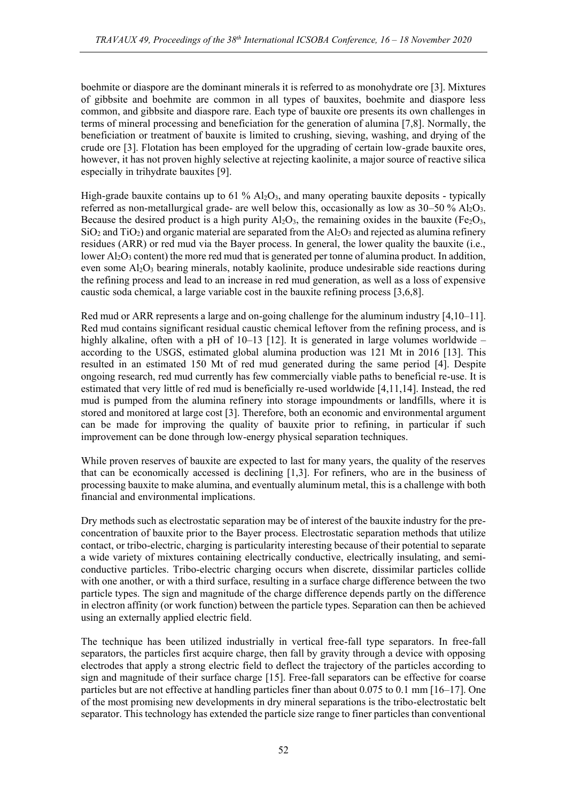boehmite or diaspore are the dominant minerals it is referred to as monohydrate ore [3]. Mixtures of gibbsite and boehmite are common in all types of bauxites, boehmite and diaspore less common, and gibbsite and diaspore rare. Each type of bauxite ore presents its own challenges in terms of mineral processing and beneficiation for the generation of alumina [7,8]. Normally, the beneficiation or treatment of bauxite is limited to crushing, sieving, washing, and drying of the crude ore [3]. Flotation has been employed for the upgrading of certain low-grade bauxite ores, however, it has not proven highly selective at rejecting kaolinite, a major source of reactive silica especially in trihydrate bauxites [9].

High-grade bauxite contains up to 61 %  $A_2O_3$ , and many operating bauxite deposits - typically referred as non-metallurgical grade- are well below this, occasionally as low as  $30-50\%$  Al<sub>2</sub>O<sub>3</sub>. Because the desired product is a high purity  $Al_2O_3$ , the remaining oxides in the bauxite (Fe<sub>2</sub>O<sub>3</sub>,  $SiO<sub>2</sub>$  and  $TiO<sub>2</sub>$ ) and organic material are separated from the Al<sub>2</sub>O<sub>3</sub> and rejected as alumina refinery residues (ARR) or red mud via the Bayer process. In general, the lower quality the bauxite (i.e., lower  $\rm{Al}_2O_3$  content) the more red mud that is generated per tonne of alumina product. In addition, even some  $A_1Q_3$  bearing minerals, notably kaolinite, produce undesirable side reactions during the refining process and lead to an increase in red mud generation, as well as a loss of expensive caustic soda chemical, a large variable cost in the bauxite refining process [3,6,8].

Red mud or ARR represents a large and on-going challenge for the aluminum industry [4,10–11]. Red mud contains significant residual caustic chemical leftover from the refining process, and is highly alkaline, often with a pH of 10–13 [12]. It is generated in large volumes worldwide – according to the USGS, estimated global alumina production was 121 Mt in 2016 [13]. This resulted in an estimated 150 Mt of red mud generated during the same period [4]. Despite ongoing research, red mud currently has few commercially viable paths to beneficial re-use. It is estimated that very little of red mud is beneficially re-used worldwide [4,11,14]. Instead, the red mud is pumped from the alumina refinery into storage impoundments or landfills, where it is stored and monitored at large cost [3]. Therefore, both an economic and environmental argument can be made for improving the quality of bauxite prior to refining, in particular if such improvement can be done through low-energy physical separation techniques.

While proven reserves of bauxite are expected to last for many years, the quality of the reserves that can be economically accessed is declining [1,3]. For refiners, who are in the business of processing bauxite to make alumina, and eventually aluminum metal, this is a challenge with both financial and environmental implications.

Dry methods such as electrostatic separation may be of interest of the bauxite industry for the preconcentration of bauxite prior to the Bayer process. Electrostatic separation methods that utilize contact, or tribo-electric, charging is particularity interesting because of their potential to separate a wide variety of mixtures containing electrically conductive, electrically insulating, and semiconductive particles. Tribo-electric charging occurs when discrete, dissimilar particles collide with one another, or with a third surface, resulting in a surface charge difference between the two particle types. The sign and magnitude of the charge difference depends partly on the difference in electron affinity (or work function) between the particle types. Separation can then be achieved using an externally applied electric field.

The technique has been utilized industrially in vertical free-fall type separators. In free-fall separators, the particles first acquire charge, then fall by gravity through a device with opposing electrodes that apply a strong electric field to deflect the trajectory of the particles according to sign and magnitude of their surface charge [15]. Free-fall separators can be effective for coarse particles but are not effective at handling particles finer than about 0.075 to 0.1 mm [16–17]. One of the most promising new developments in dry mineral separations is the tribo-electrostatic belt separator. This technology has extended the particle size range to finer particles than conventional